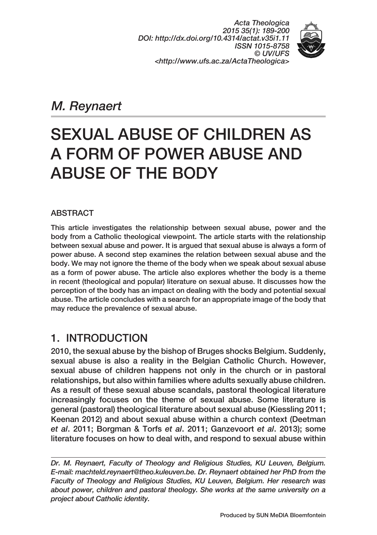*Acta Theologica 2015 35(1): 189‑200 DOI: http://dx.doi.org/10.4314/actat.v35i1.11 ISSN 1015‑8758 © UV/UFS <http://www.ufs.ac.za/ActaTheologica>*



*M. Reynaert*

# SEXUAL ABUSE OF CHILDREN AS A FORM OF POWER ABUSE AND ABUSE OF THE BODY

### ABSTRACT

This article investigates the relationship between sexual abuse, power and the body from a Catholic theological viewpoint. The article starts with the relationship between sexual abuse and power. It is argued that sexual abuse is always a form of power abuse. A second step examines the relation between sexual abuse and the body. We may not ignore the theme of the body when we speak about sexual abuse as a form of power abuse. The article also explores whether the body is a theme in recent (theological and popular) literature on sexual abuse. It discusses how the perception of the body has an impact on dealing with the body and potential sexual abuse. The article concludes with a search for an appropriate image of the body that may reduce the prevalence of sexual abuse.

### 1. INTRODUCTION

2010, the sexual abuse by the bishop of Bruges shocks Belgium. Suddenly, sexual abuse is also a reality in the Belgian Catholic Church. However, sexual abuse of children happens not only in the church or in pastoral relationships, but also within families where adults sexually abuse children. As a result of these sexual abuse scandals, pastoral theological literature increasingly focuses on the theme of sexual abuse. Some literature is general (pastoral) theological literature about sexual abuse (Kiessling 2011; Keenan 2012) and about sexual abuse within a church context (Deetman *et al*. 2011; Borgman & Torfs *et al*. 2011; Ganzevoort *et al*. 2013); some literature focuses on how to deal with, and respond to sexual abuse within

*Dr. M. Reynaert, Faculty of Theology and Religious Studies, KU Leuven, Belgium. E‑mail: machteld.reynaert@theo.kuleuven.be. Dr. Reynaert obtained her PhD from the Faculty of Theology and Religious Studies, KU Leuven, Belgium. Her research was about power, children and pastoral theology. She works at the same university on a project about Catholic identity.*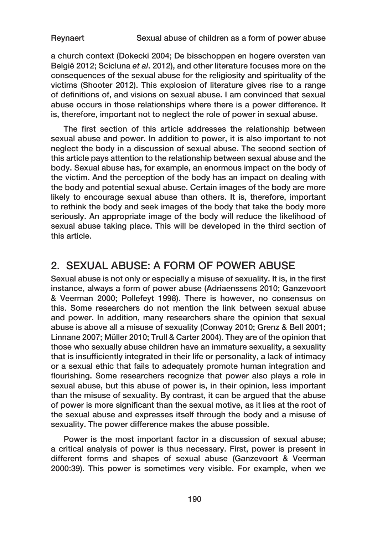a church context (Dokecki 2004; De bisschoppen en hogere oversten van België 2012; Scicluna *et al*. 2012), and other literature focuses more on the consequences of the sexual abuse for the religiosity and spirituality of the victims (Shooter 2012). This explosion of literature gives rise to a range of definitions of, and visions on sexual abuse. I am convinced that sexual abuse occurs in those relationships where there is a power difference. It is, therefore, important not to neglect the role of power in sexual abuse.

The first section of this article addresses the relationship between sexual abuse and power. In addition to power, it is also important to not neglect the body in a discussion of sexual abuse. The second section of this article pays attention to the relationship between sexual abuse and the body. Sexual abuse has, for example, an enormous impact on the body of the victim. And the perception of the body has an impact on dealing with the body and potential sexual abuse. Certain images of the body are more likely to encourage sexual abuse than others. It is, therefore, important to rethink the body and seek images of the body that take the body more seriously. An appropriate image of the body will reduce the likelihood of sexual abuse taking place. This will be developed in the third section of this article.

### 2. SEXUAL ABUSE: A FORM OF POWER ABUSE

Sexual abuse is not only or especially a misuse of sexuality. It is, in the first instance, always a form of power abuse (Adriaenssens 2010; Ganzevoort & Veerman 2000; Pollefeyt 1998). There is however, no consensus on this. Some researchers do not mention the link between sexual abuse and power. In addition, many researchers share the opinion that sexual abuse is above all a misuse of sexuality (Conway 2010; Grenz & Bell 2001; Linnane 2007; Müller 2010; Trull & Carter 2004). They are of the opinion that those who sexually abuse children have an immature sexuality, a sexuality that is insufficiently integrated in their life or personality, a lack of intimacy or a sexual ethic that fails to adequately promote human integration and flourishing. Some researchers recognize that power also plays a role in sexual abuse, but this abuse of power is, in their opinion, less important than the misuse of sexuality. By contrast, it can be argued that the abuse of power is more significant than the sexual motive, as it lies at the root of the sexual abuse and expresses itself through the body and a misuse of sexuality. The power difference makes the abuse possible.

Power is the most important factor in a discussion of sexual abuse; a critical analysis of power is thus necessary. First, power is present in different forms and shapes of sexual abuse (Ganzevoort & Veerman 2000:39). This power is sometimes very visible. For example, when we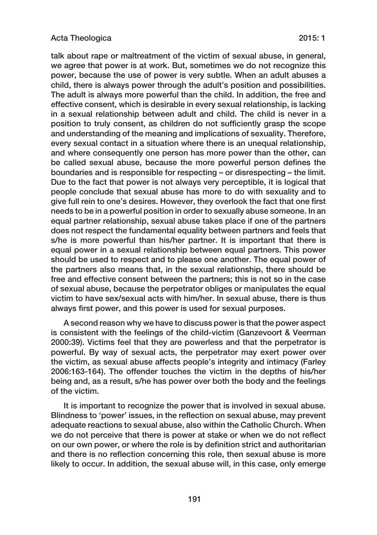talk about rape or maltreatment of the victim of sexual abuse, in general, we agree that power is at work. But, sometimes we do not recognize this power, because the use of power is very subtle. When an adult abuses a child, there is always power through the adult's position and possibilities. The adult is always more powerful than the child. In addition, the free and effective consent, which is desirable in every sexual relationship, is lacking in a sexual relationship between adult and child. The child is never in a position to truly consent, as children do not sufficiently grasp the scope and understanding of the meaning and implications of sexuality. Therefore, every sexual contact in a situation where there is an unequal relationship, and where consequently one person has more power than the other, can be called sexual abuse, because the more powerful person defines the boundaries and is responsible for respecting – or disrespecting – the limit. Due to the fact that power is not always very perceptible, it is logical that people conclude that sexual abuse has more to do with sexuality and to give full rein to one's desires. However, they overlook the fact that one first needs to be in a powerful position in order to sexually abuse someone. In an equal partner relationship, sexual abuse takes place if one of the partners does not respect the fundamental equality between partners and feels that s/he is more powerful than his/her partner. It is important that there is equal power in a sexual relationship between equal partners. This power should be used to respect and to please one another. The equal power of the partners also means that, in the sexual relationship, there should be free and effective consent between the partners; this is not so in the case of sexual abuse, because the perpetrator obliges or manipulates the equal victim to have sex/sexual acts with him/her. In sexual abuse, there is thus always first power, and this power is used for sexual purposes.

A second reason why we have to discuss power is that the power aspect is consistent with the feelings of the child-victim (Ganzevoort & Veerman 2000:39). Victims feel that they are powerless and that the perpetrator is powerful. By way of sexual acts, the perpetrator may exert power over the victim, as sexual abuse affects people's integrity and intimacy (Farley 2006:163‑164). The offender touches the victim in the depths of his/her being and, as a result, s/he has power over both the body and the feelings of the victim.

It is important to recognize the power that is involved in sexual abuse. Blindness to 'power' issues, in the reflection on sexual abuse, may prevent adequate reactions to sexual abuse, also within the Catholic Church. When we do not perceive that there is power at stake or when we do not reflect on our own power, or where the role is by definition strict and authoritarian and there is no reflection concerning this role, then sexual abuse is more likely to occur. In addition, the sexual abuse will, in this case, only emerge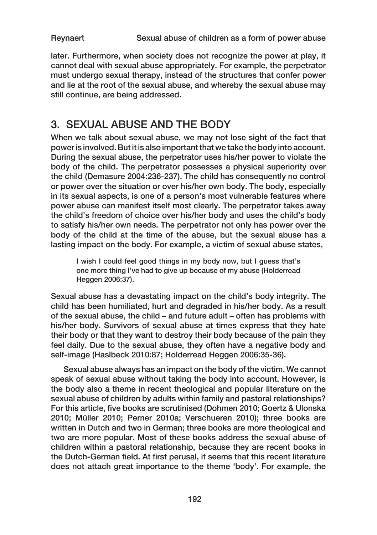later. Furthermore, when society does not recognize the power at play, it cannot deal with sexual abuse appropriately. For example, the perpetrator must undergo sexual therapy, instead of the structures that confer power and lie at the root of the sexual abuse, and whereby the sexual abuse may still continue, are being addressed.

## 3. SEXUAL ABUSE AND THE BODY

When we talk about sexual abuse, we may not lose sight of the fact that power is involved. But it is also important that we take the body into account. During the sexual abuse, the perpetrator uses his/her power to violate the body of the child. The perpetrator possesses a physical superiority over the child (Demasure 2004:236‑237). The child has consequently no control or power over the situation or over his/her own body. The body, especially in its sexual aspects, is one of a person's most vulnerable features where power abuse can manifest itself most clearly. The perpetrator takes away the child's freedom of choice over his/her body and uses the child's body to satisfy his/her own needs. The perpetrator not only has power over the body of the child at the time of the abuse, but the sexual abuse has a lasting impact on the body. For example, a victim of sexual abuse states,

I wish I could feel good things in my body now, but I guess that's one more thing I've had to give up because of my abuse (Holderread Heggen 2006:37).

Sexual abuse has a devastating impact on the child's body integrity. The child has been humiliated, hurt and degraded in his/her body. As a result of the sexual abuse, the child – and future adult – often has problems with his/her body. Survivors of sexual abuse at times express that they hate their body or that they want to destroy their body because of the pain they feel daily. Due to the sexual abuse, they often have a negative body and self-image (Haslbeck 2010:87; Holderread Heggen 2006:35-36).

Sexual abuse always has an impact on the body of the victim. We cannot speak of sexual abuse without taking the body into account. However, is the body also a theme in recent theological and popular literature on the sexual abuse of children by adults within family and pastoral relationships? For this article, five books are scrutinised (Dohmen 2010; Goertz & Ulonska 2010; Müller 2010; Perner 2010a; Verschueren 2010); three books are written in Dutch and two in German; three books are more theological and two are more popular. Most of these books address the sexual abuse of children within a pastoral relationship, because they are recent books in the Dutch‑German field. At first perusal, it seems that this recent literature does not attach great importance to the theme 'body'. For example, the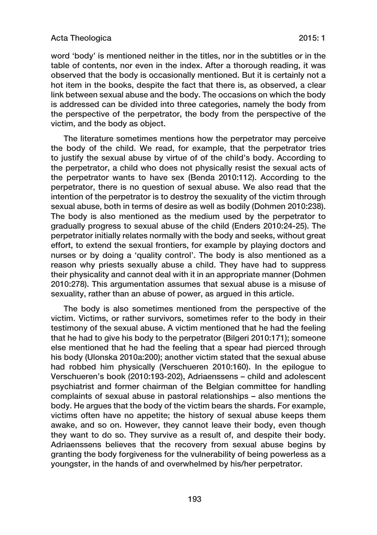#### Acta Theologica 2015: 1

word 'body' is mentioned neither in the titles, nor in the subtitles or in the table of contents, nor even in the index. After a thorough reading, it was observed that the body is occasionally mentioned. But it is certainly not a hot item in the books, despite the fact that there is, as observed, a clear link between sexual abuse and the body. The occasions on which the body is addressed can be divided into three categories, namely the body from the perspective of the perpetrator, the body from the perspective of the victim, and the body as object.

The literature sometimes mentions how the perpetrator may perceive the body of the child. We read, for example, that the perpetrator tries to justify the sexual abuse by virtue of of the child's body. According to the perpetrator, a child who does not physically resist the sexual acts of the perpetrator wants to have sex (Benda 2010:112). According to the perpetrator, there is no question of sexual abuse. We also read that the intention of the perpetrator is to destroy the sexuality of the victim through sexual abuse, both in terms of desire as well as bodily (Dohmen 2010:238). The body is also mentioned as the medium used by the perpetrator to gradually progress to sexual abuse of the child (Enders 2010:24‑25). The perpetrator initially relates normally with the body and seeks, without great effort, to extend the sexual frontiers, for example by playing doctors and nurses or by doing a 'quality control'. The body is also mentioned as a reason why priests sexually abuse a child. They have had to suppress their physicality and cannot deal with it in an appropriate manner (Dohmen 2010:278). This argumentation assumes that sexual abuse is a misuse of sexuality, rather than an abuse of power, as arqued in this article.

The body is also sometimes mentioned from the perspective of the victim. Victims, or rather survivors, sometimes refer to the body in their testimony of the sexual abuse. A victim mentioned that he had the feeling that he had to give his body to the perpetrator (Bilgeri 2010:171); someone else mentioned that he had the feeling that a spear had pierced through his body (Ulonska 2010a:200); another victim stated that the sexual abuse had robbed him physically (Verschueren 2010:160). In the epilogue to Verschueren's book (2010:193‑202), Adriaenssens – child and adolescent psychiatrist and former chairman of the Belgian committee for handling complaints of sexual abuse in pastoral relationships – also mentions the body. He argues that the body of the victim bears the shards. For example, victims often have no appetite; the history of sexual abuse keeps them awake, and so on. However, they cannot leave their body, even though they want to do so. They survive as a result of, and despite their body. Adriaenssens believes that the recovery from sexual abuse begins by granting the body forgiveness for the vulnerability of being powerless as a youngster, in the hands of and overwhelmed by his/her perpetrator.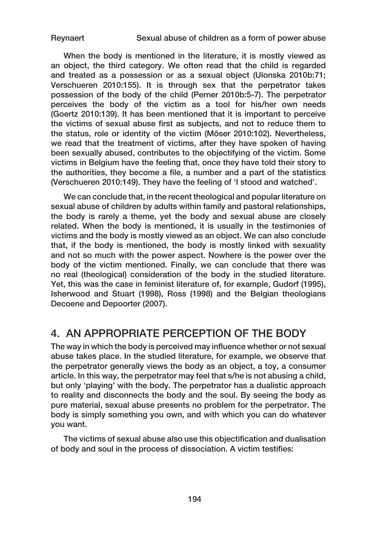When the body is mentioned in the literature, it is mostly viewed as an object, the third category. We often read that the child is regarded and treated as a possession or as a sexual object (Ulonska 2010b:71; Verschueren 2010:155). It is through sex that the perpetrator takes possession of the body of the child (Perner 2010b:5‑7). The perpetrator perceives the body of the victim as a tool for his/her own needs (Goertz 2010:139). It has been mentioned that it is important to perceive the victims of sexual abuse first as subjects, and not to reduce them to the status, role or identity of the victim (Möser 2010:102). Nevertheless, we read that the treatment of victims, after they have spoken of having been sexually abused, contributes to the objectifying of the victim. Some victims in Belgium have the feeling that, once they have told their story to the authorities, they become a file, a number and a part of the statistics (Verschueren 2010:149). They have the feeling of 'I stood and watched'.

We can conclude that, in the recent theological and popular literature on sexual abuse of children by adults within family and pastoral relationships, the body is rarely a theme, yet the body and sexual abuse are closely related. When the body is mentioned, it is usually in the testimonies of victims and the body is mostly viewed as an object. We can also conclude that, if the body is mentioned, the body is mostly linked with sexuality and not so much with the power aspect. Nowhere is the power over the body of the victim mentioned. Finally, we can conclude that there was no real (theological) consideration of the body in the studied literature. Yet, this was the case in feminist literature of, for example, Gudorf (1995), Isherwood and Stuart (1998), Ross (1998) and the Belgian theologians Decoene and Depoorter (2007).

### 4. AN APPROPRIATE PERCEPTION OF THE BODY

The way in which the body is perceived may influence whether or not sexual abuse takes place. In the studied literature, for example, we observe that the perpetrator generally views the body as an object, a toy, a consumer article. In this way, the perpetrator may feel that s/he is not abusing a child, but only 'playing' with the body. The perpetrator has a dualistic approach to reality and disconnects the body and the soul. By seeing the body as pure material, sexual abuse presents no problem for the perpetrator. The body is simply something you own, and with which you can do whatever you want.

The victims of sexual abuse also use this objectification and dualisation of body and soul in the process of dissociation. A victim testifies: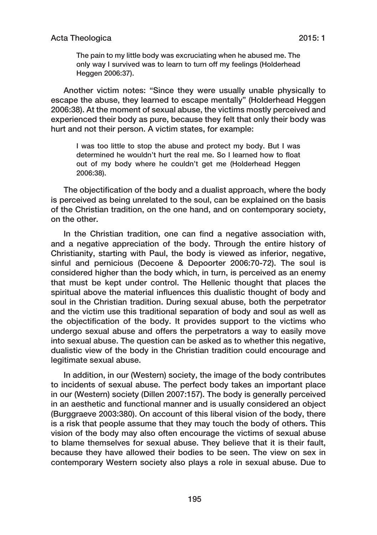The pain to my little body was excruciating when he abused me. The only way I survived was to learn to turn off my feelings (Holderhead Heggen 2006:37).

Another victim notes: "Since they were usually unable physically to escape the abuse, they learned to escape mentally" (Holderhead Heggen 2006:38). At the moment of sexual abuse, the victims mostly perceived and experienced their body as pure, because they felt that only their body was hurt and not their person. A victim states, for example:

I was too little to stop the abuse and protect my body. But I was determined he wouldn't hurt the real me. So I learned how to float out of my body where he couldn't get me (Holderhead Heggen 2006:38).

The objectification of the body and a dualist approach, where the body is perceived as being unrelated to the soul, can be explained on the basis of the Christian tradition, on the one hand, and on contemporary society, on the other.

In the Christian tradition, one can find a negative association with, and a negative appreciation of the body. Through the entire history of Christianity, starting with Paul, the body is viewed as inferior, negative, sinful and pernicious (Decoene & Depoorter 2006:70-72). The soul is considered higher than the body which, in turn, is perceived as an enemy that must be kept under control. The Hellenic thought that places the spiritual above the material influences this dualistic thought of body and soul in the Christian tradition. During sexual abuse, both the perpetrator and the victim use this traditional separation of body and soul as well as the objectification of the body. It provides support to the victims who undergo sexual abuse and offers the perpetrators a way to easily move into sexual abuse. The question can be asked as to whether this negative, dualistic view of the body in the Christian tradition could encourage and legitimate sexual abuse.

In addition, in our (Western) society, the image of the body contributes to incidents of sexual abuse. The perfect body takes an important place in our (Western) society (Dillen 2007:157). The body is generally perceived in an aesthetic and functional manner and is usually considered an object (Burggraeve 2003:380). On account of this liberal vision of the body, there is a risk that people assume that they may touch the body of others. This vision of the body may also often encourage the victims of sexual abuse to blame themselves for sexual abuse. They believe that it is their fault, because they have allowed their bodies to be seen. The view on sex in contemporary Western society also plays a role in sexual abuse. Due to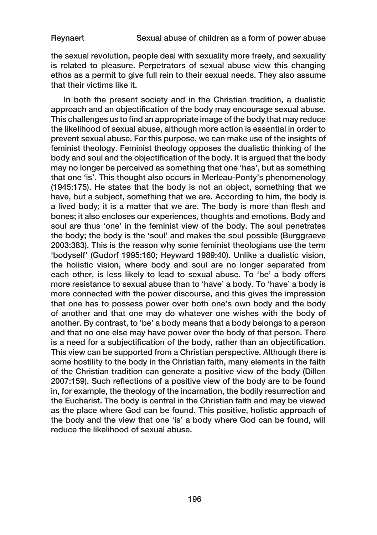the sexual revolution, people deal with sexuality more freely, and sexuality is related to pleasure. Perpetrators of sexual abuse view this changing ethos as a permit to give full rein to their sexual needs. They also assume that their victims like it.

In both the present society and in the Christian tradition, a dualistic approach and an objectification of the body may encourage sexual abuse. This challenges us to find an appropriate image of the body that may reduce the likelihood of sexual abuse, although more action is essential in order to prevent sexual abuse. For this purpose, we can make use of the insights of feminist theology. Feminist theology opposes the dualistic thinking of the body and soul and the objectification of the body. It is argued that the body may no longer be perceived as something that one 'has', but as something that one 'is'. This thought also occurs in Merleau‑Ponty's phenomenology (1945:175). He states that the body is not an object, something that we have, but a subject, something that we are. According to him, the body is a lived body; it is a matter that we are. The body is more than flesh and bones; it also encloses our experiences, thoughts and emotions. Body and soul are thus 'one' in the feminist view of the body. The soul penetrates the body; the body is the 'soul' and makes the soul possible (Burggraeve 2003:383). This is the reason why some feminist theologians use the term 'bodyself' (Gudorf 1995:160; Heyward 1989:40). Unlike a dualistic vision, the holistic vision, where body and soul are no longer separated from each other, is less likely to lead to sexual abuse. To 'be' a body offers more resistance to sexual abuse than to 'have' a body. To 'have' a body is more connected with the power discourse, and this gives the impression that one has to possess power over both one's own body and the body of another and that one may do whatever one wishes with the body of another. By contrast, to 'be' a body means that a body belongs to a person and that no one else may have power over the body of that person. There is a need for a subjectification of the body, rather than an objectification. This view can be supported from a Christian perspective. Although there is some hostility to the body in the Christian faith, many elements in the faith of the Christian tradition can generate a positive view of the body (Dillen 2007:159). Such reflections of a positive view of the body are to be found in, for example, the theology of the incarnation, the bodily resurrection and the Eucharist. The body is central in the Christian faith and may be viewed as the place where God can be found. This positive, holistic approach of the body and the view that one 'is' a body where God can be found, will reduce the likelihood of sexual abuse.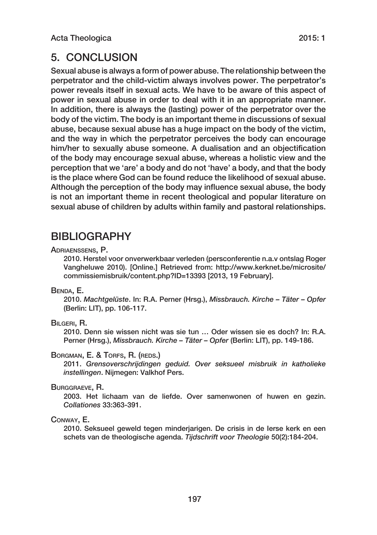### 5. CONCLUSION

Sexual abuse is always a form of power abuse. The relationship between the perpetrator and the child‑victim always involves power. The perpetrator's power reveals itself in sexual acts. We have to be aware of this aspect of power in sexual abuse in order to deal with it in an appropriate manner. In addition, there is always the (lasting) power of the perpetrator over the body of the victim. The body is an important theme in discussions of sexual abuse, because sexual abuse has a huge impact on the body of the victim, and the way in which the perpetrator perceives the body can encourage him/her to sexually abuse someone. A dualisation and an objectification of the body may encourage sexual abuse, whereas a holistic view and the perception that we 'are' a body and do not 'have' a body, and that the body is the place where God can be found reduce the likelihood of sexual abuse. Although the perception of the body may influence sexual abuse, the body is not an important theme in recent theological and popular literature on sexual abuse of children by adults within family and pastoral relationships.

## BIBLIOGRAPHY

#### Adriaenssens, P.

2010. Herstel voor onverwerkbaar verleden (persconferentie n.a.v ontslag Roger Vangheluwe 2010). [Online.] Retrieved from: http://www.kerknet.be/microsite/ commissiemisbruik/content.php?ID=13393 [2013, 19 February].

#### Benda, E.

2010. *Machtgelüste*. In: R.A. Perner (Hrsg.), *Missbrauch. Kirche – Täter – Opfer* (Berlin: LIT), pp. 106‑117.

#### Bilgeri, R.

2010. Denn sie wissen nicht was sie tun … Oder wissen sie es doch? In: R.A. Perner (Hrsg.), *Missbrauch. Kirche – Täter – Opfer* (Berlin: LIT), pp. 149-186.

#### BORGMAN, E. & TORFS, R. (REDS.)

2011. *Grensoverschrijdingen geduid. Over seksueel misbruik in katholieke instellingen*. Nijmegen: Valkhof Pers.

#### Burggraeve, R.

2003. Het lichaam van de liefde. Over samenwonen of huwen en gezin. *Collationes* 33:363‑391.

#### Conway, E.

2010. Seksueel geweld tegen minderjarigen. De crisis in de Ierse kerk en een schets van de theologische agenda. *Tijdschrift voor Theologie* 50(2):184‑204.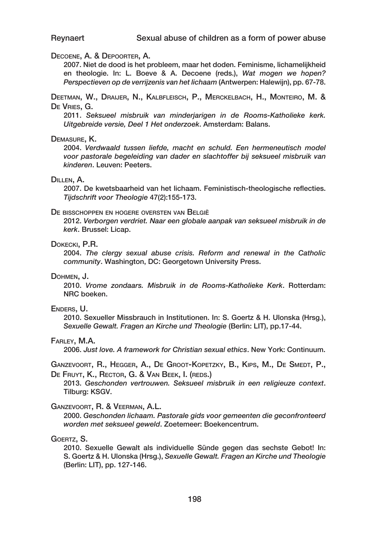Decoene, A. & Depoorter, A.

2007. Niet de dood is het probleem, maar het doden. Feminisme, lichamelijkheid en theologie. In: L. Boeve & A. Decoene (reds.), *Wat mogen we hopen? Perspectieven op de verrijzenis van het lichaam* (Antwerpen: Halewijn), pp. 67‑78.

Deetman, W., Draijer, N., Kalbfleisch, P., Merckelbach, H., Monteiro, M. & De Vries, G.

2011. *Seksueel misbruik van minderjarigen in de Rooms‑Katholieke kerk. Uitgebreide versie, Deel 1 Het onderzoek*. Amsterdam: Balans.

#### Demasure, K.

2004. *Verdwaald tussen liefde, macht en schuld. Een hermeneutisch model voor pastorale begeleiding van dader en slachtoffer bij seksueel misbruik van kinderen*. Leuven: Peeters.

#### Dillen, A.

2007. De kwetsbaarheid van het lichaam. Feministisch‑theologische reflecties. *Tijdschrift voor Theologie* 47(2):155‑173.

#### De bisschoppen en hogere oversten van België

2012. *Verborgen verdriet. Naar een globale aanpak van seksueel misbruik in de kerk*. Brussel: Licap.

#### Dokecki, P.R.

2004. *The clergy sexual abuse crisis. Reform and renewal in the Catholic community*. Washington, DC: Georgetown University Press.

#### Dohmen, J.

2010. *Vrome zondaars. Misbruik in de Rooms‑Katholieke Kerk*. Rotterdam: NRC boeken.

#### Enders, U.

2010. Sexueller Missbrauch in Institutionen. In: S. Goertz & H. Ulonska (Hrsg.), *Sexuelle Gewalt. Fragen an Kirche und Theologie* (Berlin: LIT), pp.17‑44.

#### Farley, M.A.

2006. *Just love. A framework for Christian sexual ethics*. New York: Continuum.

Ganzevoort, R., Hegger, A., De Groot‑Kopetzky, B., Kips, M., De Smedt, P., De Fruyt, K., Rector, G. & Van Beek, I. (reds.)

2013. *Geschonden vertrouwen. Seksueel misbruik in een religieuze context*. Tilburg: KSGV.

#### Ganzevoort, R. & Veerman, A.L.

2000. *Geschonden lichaam. Pastorale gids voor gemeenten die geconfronteerd worden met seksueel geweld*. Zoetemeer: Boekencentrum.

#### GOFRTZ, S.

2010. Sexuelle Gewalt als individuelle Sünde gegen das sechste Gebot! In: S. Goertz & H. Ulonska (Hrsg.), *Sexuelle Gewalt. Fragen an Kirche und Theologie* (Berlin: LIT), pp. 127‑146.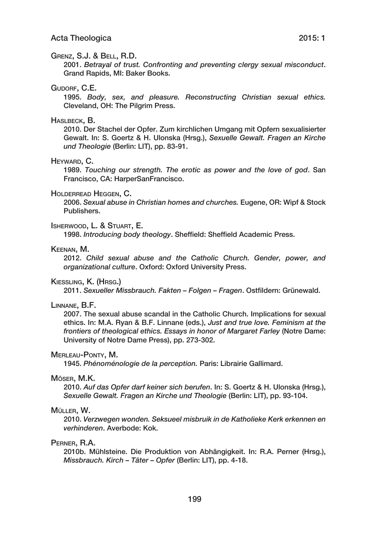#### Grenz, S.J. & Bell, R.D.

2001. *Betrayal of trust. Confronting and preventing clergy sexual misconduct*. Grand Rapids, MI: Baker Books.

#### GUDORF, C.E.

1995. *Body, sex, and pleasure. Reconstructing Christian sexual ethics.* Cleveland, OH: The Pilgrim Press.

#### HASLBECK, B.

2010. Der Stachel der Opfer. Zum kirchlichen Umgang mit Opfern sexualisierter Gewalt. In: S. Goertz & H. Ulonska (Hrsg.), *Sexuelle Gewalt. Fragen an Kirche und Theologie* (Berlin: LIT), pp. 83‑91.

#### HEYWARD, C.

1989. *Touching our strength. The erotic as power and the love of god*. San Francisco, CA: HarperSanFrancisco.

#### Holderread Heggen, C.

2006. *Sexual abuse in Christian homes and churches.* Eugene, OR: Wipf & Stock Publishers.

### Isherwood, L. & Stuart, E.

1998. *Introducing body theology*. Sheffield: Sheffield Academic Press.

#### Keenan, M.

2012. *Child sexual abuse and the Catholic Church. Gender, power, and organizational culture*. Oxford: Oxford University Press.

#### Kiessling, K. (Hrsg.)

2011. *Sexueller Missbrauch. Fakten – Folgen – Fragen*. Ostfildern: Grünewald.

#### Linnane, B.F.

2007. The sexual abuse scandal in the Catholic Church. Implications for sexual ethics. In: M.A. Ryan & B.F. Linnane (eds.), *Just and true love. Feminism at the frontiers of theological ethics. Essays in honor of Margaret Farley* (Notre Dame: University of Notre Dame Press), pp. 273‑302.

#### Merleau‑Ponty, M.

1945. *Phénoménologie de la perception.* Paris: Librairie Gallimard.

#### Möser, M.K.

2010. *Auf das Opfer darf keiner sich berufen*. In: S. Goertz & H. Ulonska (Hrsg.), *Sexuelle Gewalt. Fragen an Kirche und Theologie* (Berlin: LIT), pp. 93‑104.

#### Müller, W.

2010. *Verzwegen wonden. Seksueel misbruik in de Katholieke Kerk erkennen en verhinderen*. Averbode: Kok.

#### Perner, R.A.

2010b. Mühlsteine. Die Produktion von Abhängigkeit. In: R.A. Perner (Hrsg.), *Missbrauch. Kirch – Täter – Opfer* (Berlin: LIT), pp. 4‑18.